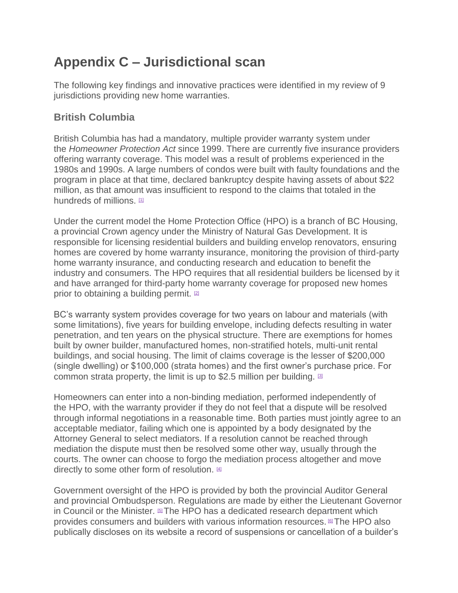# **Appendix C – Jurisdictional scan**

The following key findings and innovative practices were identified in my review of 9 jurisdictions providing new home warranties.

# **British Columbia**

British Columbia has had a mandatory, multiple provider warranty system under the *Homeowner Protection Act* since 1999. There are currently five insurance providers offering warranty coverage. This model was a result of problems experienced in the 1980s and 1990s. A large numbers of condos were built with faulty foundations and the program in place at that time, declared bankruptcy despite having assets of about \$22 million, as that amount was insufficient to respond to the claims that totaled in the hundreds of millions.  $11$ 

Under the current model the Home Protection Office (HPO) is a branch of BC Housing, a provincial Crown agency under the Ministry of Natural Gas Development. It is responsible for licensing residential builders and building envelop renovators, ensuring homes are covered by home warranty insurance, monitoring the provision of third-party home warranty insurance, and conducting research and education to benefit the industry and consumers. The HPO requires that all residential builders be licensed by it and have arranged for third-party home warranty coverage for proposed new homes prior to obtaining a building permit. <sup>[\[2\]](https://www.ontario.ca/#foot-2)</sup>

BC's warranty system provides coverage for two years on labour and materials (with some limitations), five years for building envelope, including defects resulting in water penetration, and ten years on the physical structure. There are exemptions for homes built by owner builder, manufactured homes, non-stratified hotels, multi-unit rental buildings, and social housing. The limit of claims coverage is the lesser of \$200,000 (single dwelling) or \$100,000 (strata homes) and the first owner's purchase price. For common strata property, the limit is up to \$2.5 million per building.  $\mathbb{S}$ 

Homeowners can enter into a non-binding mediation, performed independently of the HPO, with the warranty provider if they do not feel that a dispute will be resolved through informal negotiations in a reasonable time. Both parties must jointly agree to an acceptable mediator, failing which one is appointed by a body designated by the Attorney General to select mediators. If a resolution cannot be reached through mediation the dispute must then be resolved some other way, usually through the courts. The owner can choose to forgo the mediation process altogether and move directly to some other form of resolution. [\[4\]](https://www.ontario.ca/#foot-4)

Government oversight of the HPO is provided by both the provincial Auditor General and provincial Ombudsperson. Regulations are made by either the Lieutenant Governor in Council or the Minister.  $5T$ The HPO has a dedicated research department which provides consumers and builders with various information resources. [\[6\]](https://www.ontario.ca/#foot-6)The HPO also publically discloses on its website a record of suspensions or cancellation of a builder's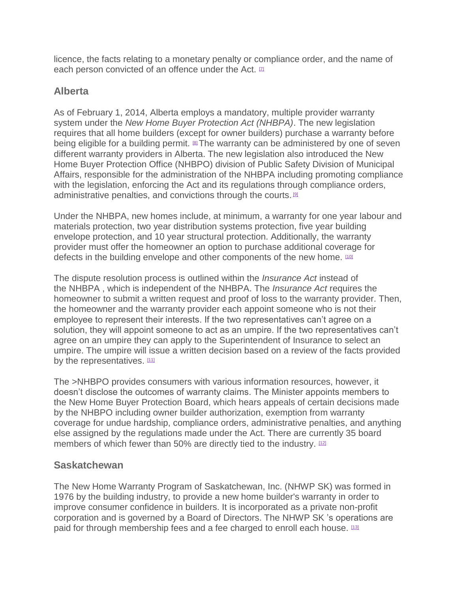licence, the facts relating to a monetary penalty or compliance order, and the name of each person convicted of an offence under the Act.  $\Box$ 

### **Alberta**

As of February 1, 2014, Alberta employs a mandatory, multiple provider warranty system under the *New Home Buyer Protection Act (NHBPA)*. The new legislation requires that all home builders (except for owner builders) purchase a warranty before being eligible for a building permit. <sup>[\[8\]](https://www.ontario.ca/#foot-8)</sup>The warranty can be administered by one of seven different warranty providers in Alberta. The new legislation also introduced the New Home Buyer Protection Office (NHBPO) division of Public Safety Division of Municipal Affairs, responsible for the administration of the NHBPA including promoting compliance with the legislation, enforcing the Act and its regulations through compliance orders, administrative penalties, and convictions through the courts. [\[9\]](https://www.ontario.ca/#foot-9)

Under the NHBPA, new homes include, at minimum, a warranty for one year labour and materials protection, two year distribution systems protection, five year building envelope protection, and 10 year structural protection. Additionally, the warranty provider must offer the homeowner an option to purchase additional coverage for defects in the building envelope and other components of the new home. [\[10\]](https://www.ontario.ca/#foot-10)

The dispute resolution process is outlined within the *Insurance Act* instead of the NHBPA , which is independent of the NHBPA. The *Insurance Act* requires the homeowner to submit a written request and proof of loss to the warranty provider. Then, the homeowner and the warranty provider each appoint someone who is not their employee to represent their interests. If the two representatives can't agree on a solution, they will appoint someone to act as an umpire. If the two representatives can't agree on an umpire they can apply to the Superintendent of Insurance to select an umpire. The umpire will issue a written decision based on a review of the facts provided by the representatives. [\[11\]](https://www.ontario.ca/#foot-11)

The >NHBPO provides consumers with various information resources, however, it doesn't disclose the outcomes of warranty claims. The Minister appoints members to the New Home Buyer Protection Board, which hears appeals of certain decisions made by the NHBPO including owner builder authorization, exemption from warranty coverage for undue hardship, compliance orders, administrative penalties, and anything else assigned by the regulations made under the Act. There are currently 35 board members of which fewer than 50% are directly tied to the industry.  $12$ 

## **Saskatchewan**

The New Home Warranty Program of Saskatchewan, Inc. (NHWP SK) was formed in 1976 by the building industry, to provide a new home builder's warranty in order to improve consumer confidence in builders. It is incorporated as a private non-profit corporation and is governed by a Board of Directors. The NHWP SK 's operations are paid for through membership fees and a fee charged to enroll each house. [\[13\]](https://www.ontario.ca/#foot-13)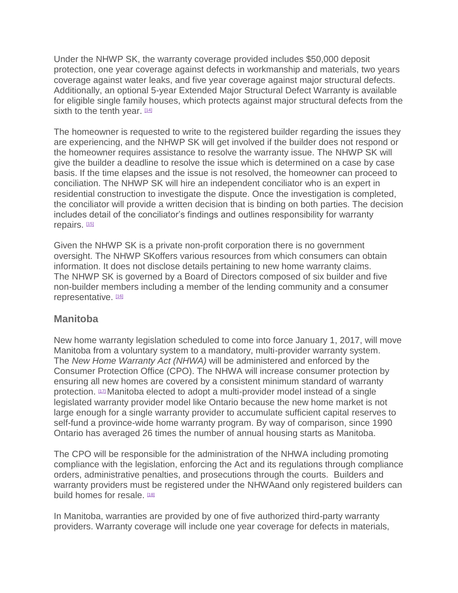Under the NHWP SK, the warranty coverage provided includes \$50,000 deposit protection, one year coverage against defects in workmanship and materials, two years coverage against water leaks, and five year coverage against major structural defects. Additionally, an optional 5-year Extended Major Structural Defect Warranty is available for eligible single family houses, which protects against major structural defects from the sixth to the tenth year.  $1141$ 

The homeowner is requested to write to the registered builder regarding the issues they are experiencing, and the NHWP SK will get involved if the builder does not respond or the homeowner requires assistance to resolve the warranty issue. The NHWP SK will give the builder a deadline to resolve the issue which is determined on a case by case basis. If the time elapses and the issue is not resolved, the homeowner can proceed to conciliation. The NHWP SK will hire an independent conciliator who is an expert in residential construction to investigate the dispute. Once the investigation is completed, the conciliator will provide a written decision that is binding on both parties. The decision includes detail of the conciliator's findings and outlines responsibility for warranty repairs. [\[15\]](https://www.ontario.ca/#foot-15)

Given the NHWP SK is a private non-profit corporation there is no government oversight. The NHWP SKoffers various resources from which consumers can obtain information. It does not disclose details pertaining to new home warranty claims. The NHWP SK is governed by a Board of Directors composed of six builder and five non-builder members including a member of the lending community and a consumer representative. [\[16\]](https://www.ontario.ca/#foot-16)

#### **Manitoba**

New home warranty legislation scheduled to come into force January 1, 2017, will move Manitoba from a voluntary system to a mandatory, multi-provider warranty system. The *New Home Warranty Act (NHWA)* will be administered and enforced by the Consumer Protection Office (CPO). The NHWA will increase consumer protection by ensuring all new homes are covered by a consistent minimum standard of warranty protection. [\[17\]](https://www.ontario.ca/#foot-17) Manitoba elected to adopt a multi-provider model instead of a single legislated warranty provider model like Ontario because the new home market is not large enough for a single warranty provider to accumulate sufficient capital reserves to self-fund a province-wide home warranty program. By way of comparison, since 1990 Ontario has averaged 26 times the number of annual housing starts as Manitoba.

The CPO will be responsible for the administration of the NHWA including promoting compliance with the legislation, enforcing the Act and its regulations through compliance orders, administrative penalties, and prosecutions through the courts. Builders and warranty providers must be registered under the NHWAand only registered builders can build homes for resale. [\[18\]](https://www.ontario.ca/#foot-18)

In Manitoba, warranties are provided by one of five authorized third-party warranty providers. Warranty coverage will include one year coverage for defects in materials,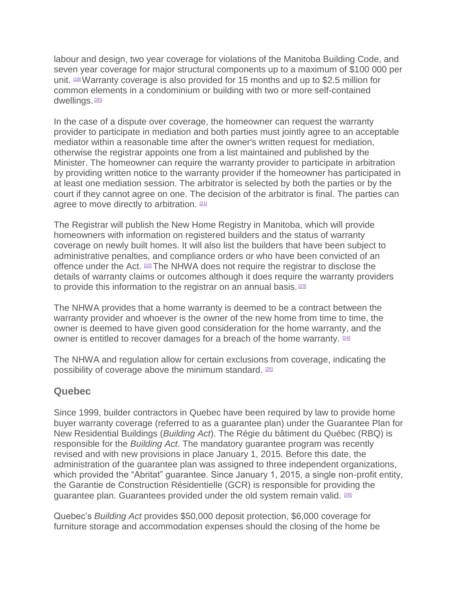labour and design, two year coverage for violations of the Manitoba Building Code, and seven year coverage for major structural components up to a maximum of \$100 000 per unit.  $199$  Warranty coverage is also provided for 15 months and up to \$2.5 million for common elements in a condominium or building with two or more self-contained dwellings. [\[20\]](https://www.ontario.ca/#foot-20)

In the case of a dispute over coverage, the homeowner can request the warranty provider to participate in mediation and both parties must jointly agree to an acceptable mediator within a reasonable time after the owner's written request for mediation, otherwise the registrar appoints one from a list maintained and published by the Minister. The homeowner can require the warranty provider to participate in arbitration by providing written notice to the warranty provider if the homeowner has participated in at least one mediation session. The arbitrator is selected by both the parties or by the court if they cannot agree on one. The decision of the arbitrator is final. The parties can agree to move directly to arbitration. [\[21\]](https://www.ontario.ca/#foot-21)

The Registrar will publish the New Home Registry in Manitoba, which will provide homeowners with information on registered builders and the status of warranty coverage on newly built homes. It will also list the builders that have been subject to administrative penalties, and compliance orders or who have been convicted of an offence under the Act.  $22$ The NHWA does not require the registrar to disclose the details of warranty claims or outcomes although it does require the warranty providers to provide this information to the registrar on an annual basis. [\[23\]](https://www.ontario.ca/#foot-23)

The NHWA provides that a home warranty is deemed to be a contract between the warranty provider and whoever is the owner of the new home from time to time, the owner is deemed to have given good consideration for the home warranty, and the owner is entitled to recover damages for a breach of the home warranty. [\[24\]](https://www.ontario.ca/#foot-24)

The NHWA and regulation allow for certain exclusions from coverage, indicating the possibility of coverage above the minimum standard. [\[25\]](https://www.ontario.ca/#foot-25)

#### **Quebec**

Since 1999, builder contractors in Quebec have been required by law to provide home buyer warranty coverage (referred to as a guarantee plan) under the Guarantee Plan for New Residential Buildings (*Building Act*). The Régie du bâtiment du Québec (RBQ) is responsible for the *Building Act*. The mandatory guarantee program was recently revised and with new provisions in place January 1, 2015. Before this date, the administration of the guarantee plan was assigned to three independent organizations, which provided the "Abritat" guarantee. Since January 1, 2015, a single non-profit entity, the Garantie de Construction Résidentielle (GCR) is responsible for providing the guarantee plan. Guarantees provided under the old system remain valid. <sup>[\[26\]](https://www.ontario.ca/#foot-26)</sup>

Quebec's *Building Act* provides \$50,000 deposit protection, \$6,000 coverage for furniture storage and accommodation expenses should the closing of the home be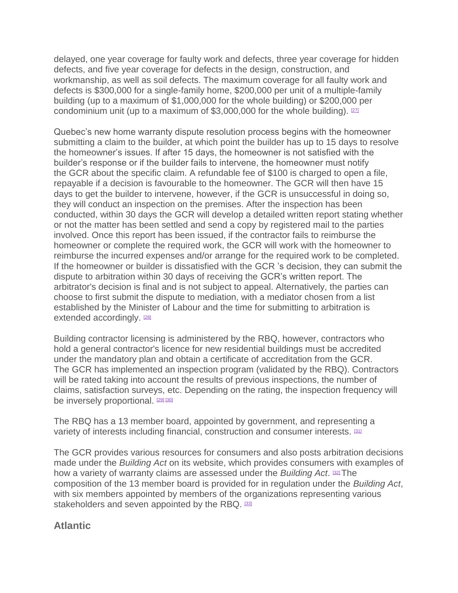delayed, one year coverage for faulty work and defects, three year coverage for hidden defects, and five year coverage for defects in the design, construction, and workmanship, as well as soil defects. The maximum coverage for all faulty work and defects is \$300,000 for a single-family home, \$200,000 per unit of a multiple-family building (up to a maximum of \$1,000,000 for the whole building) or \$200,000 per condominium unit (up to a maximum of \$3,000,000 for the whole building).  $27$ 

Quebec's new home warranty dispute resolution process begins with the homeowner submitting a claim to the builder, at which point the builder has up to 15 days to resolve the homeowner's issues. If after 15 days, the homeowner is not satisfied with the builder's response or if the builder fails to intervene, the homeowner must notify the GCR about the specific claim. A refundable fee of \$100 is charged to open a file, repayable if a decision is favourable to the homeowner. The GCR will then have 15 days to get the builder to intervene, however, if the GCR is unsuccessful in doing so, they will conduct an inspection on the premises. After the inspection has been conducted, within 30 days the GCR will develop a detailed written report stating whether or not the matter has been settled and send a copy by registered mail to the parties involved. Once this report has been issued, if the contractor fails to reimburse the homeowner or complete the required work, the GCR will work with the homeowner to reimburse the incurred expenses and/or arrange for the required work to be completed. If the homeowner or builder is dissatisfied with the GCR 's decision, they can submit the dispute to arbitration within 30 days of receiving the GCR's written report. The arbitrator's decision is final and is not subject to appeal. Alternatively, the parties can choose to first submit the dispute to mediation, with a mediator chosen from a list established by the Minister of Labour and the time for submitting to arbitration is extended accordingly. [\[28\]](https://www.ontario.ca/#foot-28)

Building contractor licensing is administered by the RBQ, however, contractors who hold a general contractor's licence for new residential buildings must be accredited under the mandatory plan and obtain a certificate of accreditation from the GCR. The GCR has implemented an inspection program (validated by the RBQ). Contractors will be rated taking into account the results of previous inspections, the number of claims, satisfaction surveys, etc. Depending on the rating, the inspection frequency will be inversely proportional. [\[29\]](https://www.ontario.ca/#foot-29) [\[30\]](https://www.ontario.ca/#foot-30)

The RBQ has a 13 member board, appointed by government, and representing a variety of interests including financial, construction and consumer interests. [\[31\]](https://www.ontario.ca/#foot-31)

The GCR provides various resources for consumers and also posts arbitration decisions made under the *Building Act* on its website, which provides consumers with examples of how a variety of warranty claims are assessed under the *Building Act*. [\[32\]](https://www.ontario.ca/#foot-32)The composition of the 13 member board is provided for in regulation under the *Building Act*, with six members appointed by members of the organizations representing various stakeholders and seven appointed by the RBQ. [\[33\]](https://www.ontario.ca/#foot-33)

#### **Atlantic**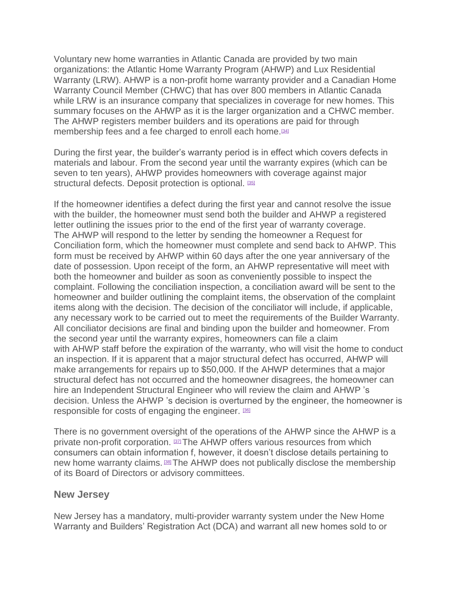Voluntary new home warranties in Atlantic Canada are provided by two main organizations: the Atlantic Home Warranty Program (AHWP) and Lux Residential Warranty (LRW). AHWP is a non-profit home warranty provider and a Canadian Home Warranty Council Member (CHWC) that has over 800 members in Atlantic Canada while LRW is an insurance company that specializes in coverage for new homes. This summary focuses on the AHWP as it is the larger organization and a CHWC member. The AHWP registers member builders and its operations are paid for through membership fees and a fee charged to enroll each home.<sup>[\[34\]](https://www.ontario.ca/#foot-34)</sup>

During the first year, the builder's warranty period is in effect which covers defects in materials and labour. From the second year until the warranty expires (which can be seven to ten years), AHWP provides homeowners with coverage against major structural defects. Deposit protection is optional. [\[35\]](https://www.ontario.ca/#foot-35)

If the homeowner identifies a defect during the first year and cannot resolve the issue with the builder, the homeowner must send both the builder and AHWP a registered letter outlining the issues prior to the end of the first year of warranty coverage. The AHWP will respond to the letter by sending the homeowner a Request for Conciliation form, which the homeowner must complete and send back to AHWP. This form must be received by AHWP within 60 days after the one year anniversary of the date of possession. Upon receipt of the form, an AHWP representative will meet with both the homeowner and builder as soon as conveniently possible to inspect the complaint. Following the conciliation inspection, a conciliation award will be sent to the homeowner and builder outlining the complaint items, the observation of the complaint items along with the decision. The decision of the conciliator will include, if applicable, any necessary work to be carried out to meet the requirements of the Builder Warranty. All conciliator decisions are final and binding upon the builder and homeowner. From the second year until the warranty expires, homeowners can file a claim with AHWP staff before the expiration of the warranty, who will visit the home to conduct an inspection. If it is apparent that a major structural defect has occurred, AHWP will make arrangements for repairs up to \$50,000. If the AHWP determines that a major structural defect has not occurred and the homeowner disagrees, the homeowner can hire an Independent Structural Engineer who will review the claim and AHWP 's decision. Unless the AHWP 's decision is overturned by the engineer, the homeowner is responsible for costs of engaging the engineer. [\[36\]](https://www.ontario.ca/#foot-36)

There is no government oversight of the operations of the AHWP since the AHWP is a private non-profit corporation. [\[37\]](https://www.ontario.ca/#foot-37)The AHWP offers various resources from which consumers can obtain information f, however, it doesn't disclose details pertaining to new home warranty claims. **BRAHWP** does not publically disclose the membership of its Board of Directors or advisory committees.

#### **New Jersey**

New Jersey has a mandatory, multi-provider warranty system under the New Home Warranty and Builders' Registration Act (DCA) and warrant all new homes sold to or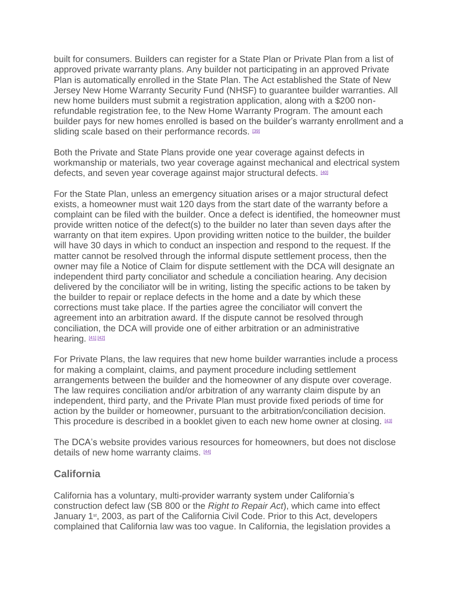built for consumers. Builders can register for a State Plan or Private Plan from a list of approved private warranty plans. Any builder not participating in an approved Private Plan is automatically enrolled in the State Plan. The Act established the State of New Jersey New Home Warranty Security Fund (NHSF) to guarantee builder warranties. All new home builders must submit a registration application, along with a \$200 nonrefundable registration fee, to the New Home Warranty Program. The amount each builder pays for new homes enrolled is based on the builder's warranty enrollment and a sliding scale based on their performance records. [\[39\]](https://www.ontario.ca/#foot-39)

Both the Private and State Plans provide one year coverage against defects in workmanship or materials, two year coverage against mechanical and electrical system defects, and seven year coverage against major structural defects. [\[40\]](https://www.ontario.ca/#foot-40)

For the State Plan, unless an emergency situation arises or a major structural defect exists, a homeowner must wait 120 days from the start date of the warranty before a complaint can be filed with the builder. Once a defect is identified, the homeowner must provide written notice of the defect(s) to the builder no later than seven days after the warranty on that item expires. Upon providing written notice to the builder, the builder will have 30 days in which to conduct an inspection and respond to the request. If the matter cannot be resolved through the informal dispute settlement process, then the owner may file a Notice of Claim for dispute settlement with the DCA will designate an independent third party conciliator and schedule a conciliation hearing. Any decision delivered by the conciliator will be in writing, listing the specific actions to be taken by the builder to repair or replace defects in the home and a date by which these corrections must take place. If the parties agree the conciliator will convert the agreement into an arbitration award. If the dispute cannot be resolved through conciliation, the DCA will provide one of either arbitration or an administrative hearing.  $411 [42]$  $411 [42]$ 

For Private Plans, the law requires that new home builder warranties include a process for making a complaint, claims, and payment procedure including settlement arrangements between the builder and the homeowner of any dispute over coverage. The law requires conciliation and/or arbitration of any warranty claim dispute by an independent, third party, and the Private Plan must provide fixed periods of time for action by the builder or homeowner, pursuant to the arbitration/conciliation decision. This procedure is described in a booklet given to each new home owner at closing. [\[43\]](https://www.ontario.ca/#foot-43)

The DCA's website provides various resources for homeowners, but does not disclose details of new home warranty claims. [\[44\]](https://www.ontario.ca/#foot-44)

#### **California**

California has a voluntary, multi-provider warranty system under California's construction defect law (SB 800 or the *Right to Repair Act*), which came into effect January 1<sup>st</sup>, 2003, as part of the California Civil Code. Prior to this Act, developers complained that California law was too vague. In California, the legislation provides a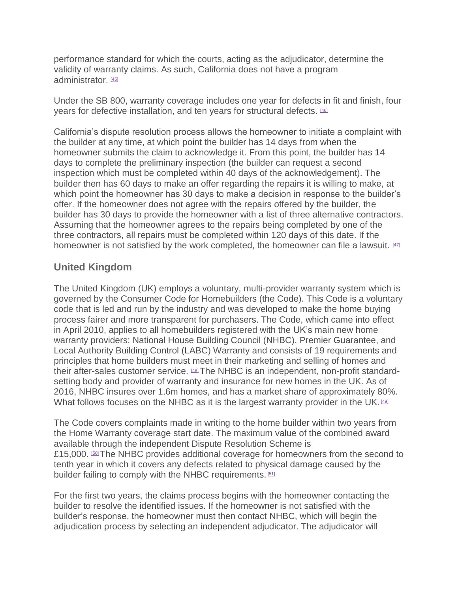performance standard for which the courts, acting as the adjudicator, determine the validity of warranty claims. As such, California does not have a program administrator<sup>[\[45\]](https://www.ontario.ca/#foot-45)</sup>

Under the SB 800, warranty coverage includes one year for defects in fit and finish, four years for defective installation, and ten years for structural defects. [\[46\]](https://www.ontario.ca/#foot-46)

California's dispute resolution process allows the homeowner to initiate a complaint with the builder at any time, at which point the builder has 14 days from when the homeowner submits the claim to acknowledge it. From this point, the builder has 14 days to complete the preliminary inspection (the builder can request a second inspection which must be completed within 40 days of the acknowledgement). The builder then has 60 days to make an offer regarding the repairs it is willing to make, at which point the homeowner has 30 days to make a decision in response to the builder's offer. If the homeowner does not agree with the repairs offered by the builder, the builder has 30 days to provide the homeowner with a list of three alternative contractors. Assuming that the homeowner agrees to the repairs being completed by one of the three contractors, all repairs must be completed within 120 days of this date. If the homeowner is not satisfied by the work completed, the homeowner can file a lawsuit.  $42$ 

### **United Kingdom**

The United Kingdom (UK) employs a voluntary, multi-provider warranty system which is governed by the Consumer Code for Homebuilders (the Code). This Code is a voluntary code that is led and run by the industry and was developed to make the home buying process fairer and more transparent for purchasers. The Code, which came into effect in April 2010, applies to all homebuilders registered with the UK's main new home warranty providers; National House Building Council (NHBC), Premier Guarantee, and Local Authority Building Control (LABC) Warranty and consists of 19 requirements and principles that home builders must meet in their marketing and selling of homes and their after-sales customer service. [\[48\]](https://www.ontario.ca/#foot-48) The NHBC is an independent, non-profit standardsetting body and provider of warranty and insurance for new homes in the UK. As of 2016, NHBC insures over 1.6m homes, and has a market share of approximately 80%. What follows focuses on the NHBC as it is the largest warranty provider in the UK.  $491$ 

The Code covers complaints made in writing to the home builder within two years from the Home Warranty coverage start date. The maximum value of the combined award available through the independent Dispute Resolution Scheme is £15,000. <sup>500</sup> The NHBC provides additional coverage for homeowners from the second to tenth year in which it covers any defects related to physical damage caused by the builder failing to comply with the NHBC requirements. [\[51\]](https://www.ontario.ca/#foot-51)

For the first two years, the claims process begins with the homeowner contacting the builder to resolve the identified issues. If the homeowner is not satisfied with the builder's response, the homeowner must then contact NHBC, which will begin the adjudication process by selecting an independent adjudicator. The adjudicator will